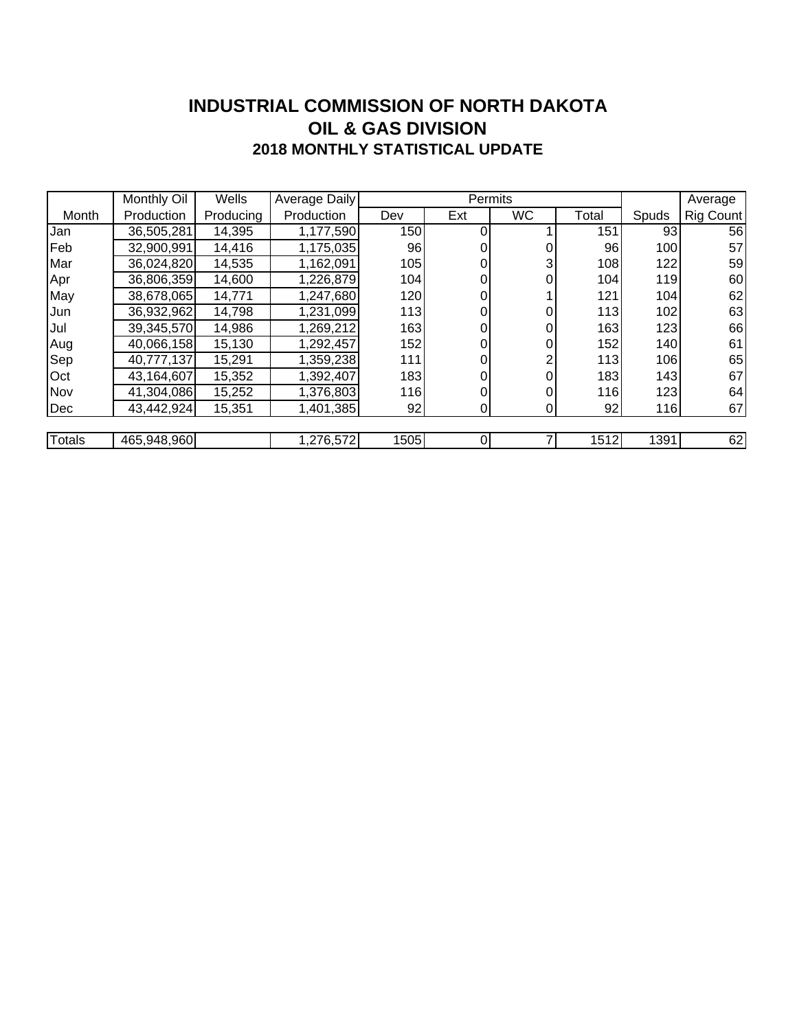### **INDUSTRIAL COMMISSION OF NORTH DAKOTA 2018 MONTHLY STATISTICAL UPDATE OIL & GAS DIVISION**

|        | Monthly Oil | Wells     | Average Daily |      | Permits        |                |       |       | Average   |
|--------|-------------|-----------|---------------|------|----------------|----------------|-------|-------|-----------|
| Month  | Production  | Producing | Production    | Dev  | Ext            | <b>WC</b>      | Total | Spuds | Rig Count |
| Jan    | 36,505,281  | 14,395    | 1,177,590     | 150  | 0              |                | 151   | 93    | 56        |
| Feb    | 32,900,991  | 14,416    | 1,175,035     | 96   | 0              |                | 96    | 100   | 57        |
| Mar    | 36,024,820  | 14,535    | 1,162,091     | 105  | 0              | 3              | 108   | 122   | 59        |
| Apr    | 36,806,359  | 14,600    | 1,226,879     | 104  | 0              | 0              | 104   | 119   | 60        |
| May    | 38,678,065  | 14,771    | 1,247,680     | 120  | 0              |                | 121   | 104   | 62        |
| IJun   | 36,932,962  | 14,798    | 1,231,099     | 113  | 0              |                | 113   | 102   | 63        |
| Jul    | 39,345,570  | 14,986    | 1,269,212     | 163  | 0              | 0              | 163   | 123   | 66        |
| Aug    | 40,066,158  | 15,130    | 1,292,457     | 152  | 0              | 0              | 152   | 140   | 61        |
| Sep    | 40,777,137  | 15,291    | 1,359,238     | 111  |                |                | 113   | 106   | 65        |
| Oct    | 43,164,607  | 15,352    | 1,392,407     | 183  | 0              |                | 183   | 143   | 67        |
| Nov    | 41,304,086  | 15,252    | 1,376,803     | 116  | 0              |                | 116   | 123   | 64        |
| Dec    | 43,442,924  | 15,351    | 1,401,385     | 92   | 0              | $\overline{0}$ | 92    | 116   | 67        |
|        |             |           |               |      |                |                |       |       |           |
| Totals | 465,948,960 |           | 1,276,572     | 1505 | $\overline{0}$ |                | 1512  | 1391  | 62        |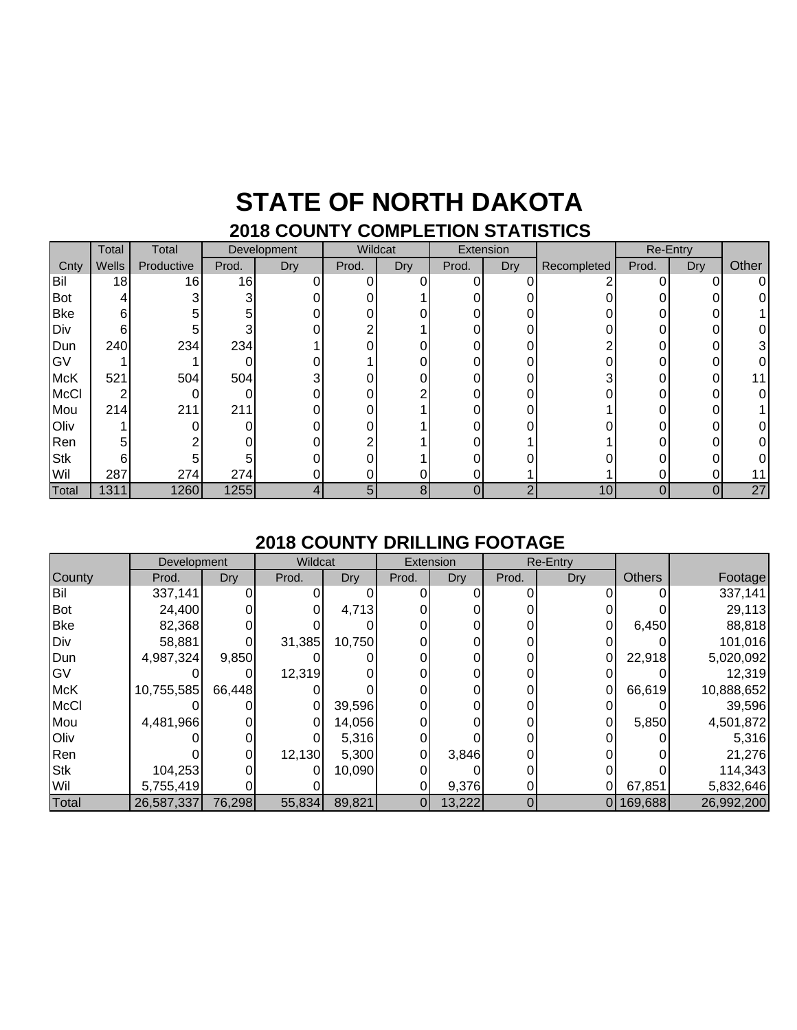### **STATE OF NORTH DAKOTA 2018 COUNTY COMPLETION STATISTICS**

|             | Total | Total      |       | Development | Wildcat  |            | Extension |     |             | Re-Entry |     |       |
|-------------|-------|------------|-------|-------------|----------|------------|-----------|-----|-------------|----------|-----|-------|
| Cnty        | Wells | Productive | Prod. | Dry         | Prod.    | <b>Dry</b> | Prod.     | Dry | Recompleted | Prod.    | Dry | Other |
| Bil         | 18    | 16         | 16    |             | $\Omega$ |            | U         |     | ◠           | ი        | 0   | ΩI    |
| Bot         | 4     |            | 3     |             |          |            |           |     |             |          |     |       |
| <b>Bke</b>  | 6     |            | 5     |             |          |            |           |     |             |          |     |       |
| Div         | 6     | 5          |       |             |          |            |           |     |             |          |     |       |
| Dun         | 240   | 234        | 234   |             |          |            | ი         |     |             |          | ი   |       |
| GV          |       |            |       |             |          |            |           |     |             |          |     |       |
| <b>McK</b>  | 521   | 504        | 504   |             |          |            |           |     | 3           |          |     |       |
| <b>McCl</b> | ◠     |            | 0     |             |          |            |           |     |             |          |     |       |
| Mou         | 214   | 211        | 211   |             |          |            |           |     |             |          |     |       |
| Oliv        |       |            | 0     |             |          |            |           |     |             |          |     |       |
| Ren         | 5     |            |       |             |          |            |           |     |             |          |     |       |
| <b>Stk</b>  | 6     |            |       |             |          |            |           |     |             |          |     |       |
| Wil         | 287   | 274        | 274   |             |          |            |           |     |             |          |     |       |
| Total       | 1311  | 1260       | 1255  |             | 5        | 8          | 0         | ົ   | 10          | 0        | 0   | 27    |

#### **2018 COUNTY DRILLING FOOTAGE**

|             | Development |        | Wildcat |        |                | Extension | Re-Entry |            |               |            |
|-------------|-------------|--------|---------|--------|----------------|-----------|----------|------------|---------------|------------|
| County      | Prod.       | Dry    | Prod.   | Dry    | Prod.          | Dry       | Prod.    | <b>Dry</b> | <b>Others</b> | Footage    |
| Bil         | 337,141     |        |         |        |                |           |          |            |               | 337,141    |
| <b>Bot</b>  | 24,400      |        |         | 4,713  |                |           |          |            |               | 29,113     |
| <b>Bke</b>  | 82,368      |        |         |        |                |           |          |            | 6,450         | 88,818     |
| Div         | 58,881      |        | 31,385  | 10,750 |                |           |          |            |               | 101,016    |
| Dun         | 4,987,324   | 9,850  |         |        |                |           |          |            | 22,918        | 5,020,092  |
| GV          |             |        | 12,319  |        |                |           |          |            |               | 12,319     |
| <b>McK</b>  | 10,755,585  | 66,448 |         |        |                |           |          | 0          | 66,619        | 10,888,652 |
| <b>McCl</b> |             |        |         | 39,596 |                |           |          |            |               | 39,596     |
| Mou         | 4,481,966   |        |         | 14,056 |                |           |          |            | 5,850         | 4,501,872  |
| Oliv        |             |        |         | 5,316  |                |           |          |            |               | 5,316      |
| Ren         |             |        | 12,130  | 5,300  |                | 3,846     |          |            |               | 21,276     |
| <b>Stk</b>  | 104,253     |        |         | 10,090 |                |           |          |            |               | 114,343    |
| Wil         | 5,755,419   |        |         |        |                | 9,376     |          |            | 67,851        | 5,832,646  |
| Total       | 26,587,337  | 76,298 | 55,834  | 89,821 | $\overline{0}$ | 13,222    | 0        | 0 I        | 169,688       | 26,992,200 |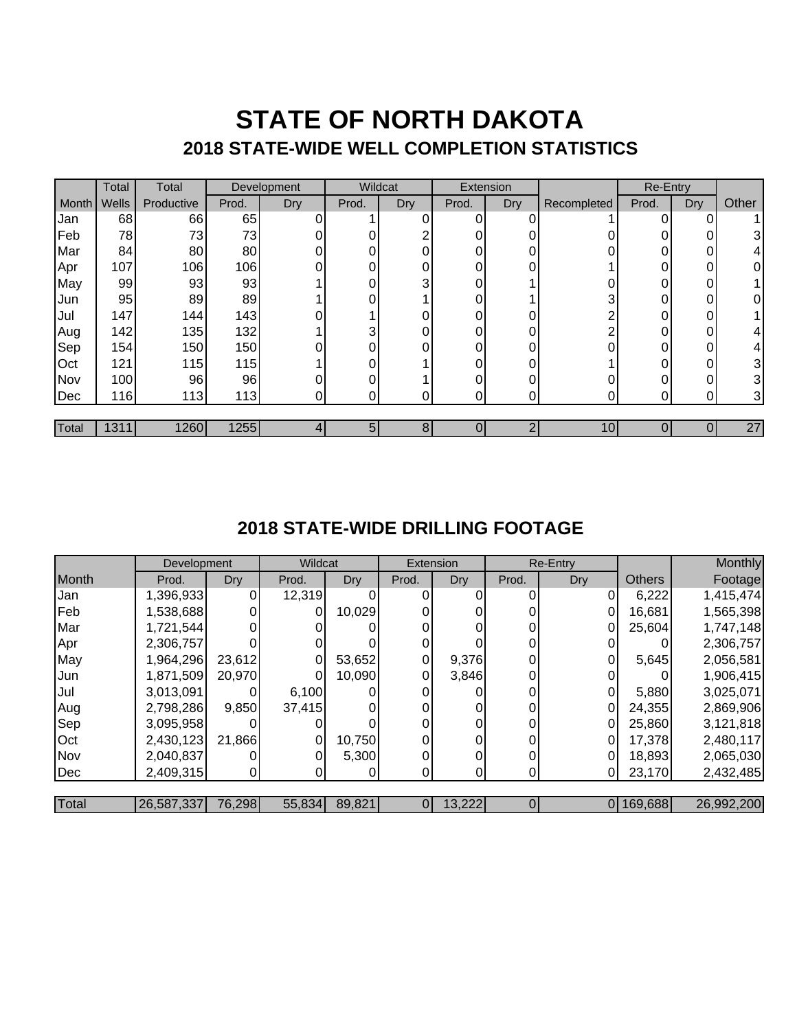## **STATE OF NORTH DAKOTA 2018 STATE-WIDE WELL COMPLETION STATISTICS**

|       | Total | Total      |       | Development | Wildcat |     | Extension |     |             | Re-Entry |            |       |
|-------|-------|------------|-------|-------------|---------|-----|-----------|-----|-------------|----------|------------|-------|
| Month | Wells | Productive | Prod. | Dry         | Prod.   | Dry | Prod.     | Dry | Recompleted | Prod.    | <b>Dry</b> | Other |
| Jan   | 68    | 66         | 65    |             |         | ი   | 0         |     |             |          | 0          |       |
| Feb   | 78    | 73         | 73    |             |         |     | 0         |     |             |          | 0          | 3     |
| Mar   | 84    | 80         | 80    |             |         |     | 0         |     |             |          | 0          | 4     |
| Apr   | 107   | 106        | 106   |             | ი       |     | 0         |     |             |          | 0          | 0     |
| May   | 99    | 93         | 93    |             |         | 3   | 0         |     |             | 0        | 0          |       |
| Jun   | 95    | 89         | 89    |             | ი       |     | $\Omega$  |     | ົ           | 0        | 0          | 0     |
| Jul   | 147   | 144        | 143   |             |         |     | 0         |     |             |          | 0          |       |
| Aug   | 142   | 135        | 132   |             | 3       |     | 0         |     |             |          | 0          | 4     |
| Sep   | 154   | 150        | 150   |             | ი       |     | 0         | ŋ   |             | U        | 0          | 4     |
| Oct   | 121   | 115        | 115   |             |         |     | 0         |     |             |          | 0          | 3     |
| Nov   | 100   | 96         | 96    |             | ი       |     | 0         |     |             |          | 0          | 3     |
| Dec   | 116   | 113        | 113   | O١          |         |     | 0         | 0   |             |          | ი          | 3     |
|       |       |            |       |             |         |     |           |     |             |          |            |       |
| Total | 1311  | 1260       | 1255  |             | 5       | 8   |           | ⌒   | 10          |          |            | 27    |

### **2018 STATE-WIDE DRILLING FOOTAGE**

|       | Development |            | Wildcat |        | Extension |        |          | Re-Entry   |               | Monthly    |
|-------|-------------|------------|---------|--------|-----------|--------|----------|------------|---------------|------------|
| Month | Prod.       | <b>Dry</b> | Prod.   | Dry    | Prod.     | Dry    | Prod.    | <b>Dry</b> | <b>Others</b> | Footage    |
| Jan   | 1,396,933   |            | 12,319  |        |           |        |          |            | 6,222         | 1,415,474  |
| Feb   | 1,538,688   |            |         | 10,029 |           |        |          | 0          | 16,681        | 1,565,398  |
| Mar   | 1,721,544   |            |         |        |           |        |          |            | 25,604        | 1,747,148  |
| Apr   | 2,306,757   |            |         |        |           |        | 0        |            |               | 2,306,757  |
| May   | 1,964,296   | 23,612     |         | 53,652 |           | 9,376  | 0        |            | 5,645         | 2,056,581  |
| Jun   | 1,871,509   | 20,970     |         | 10,090 |           | 3,846  | 0        |            |               | 1,906,415  |
| Jul   | 3,013,091   |            | 6,100   |        |           |        | 0        |            | 5,880         | 3,025,071  |
| Aug   | 2,798,286   | 9,850      | 37,415  |        |           |        | 0        | 0          | 24,355        | 2,869,906  |
| Sep   | 3,095,958   |            |         |        |           |        |          |            | 25,860        | 3,121,818  |
| Oct   | 2,430,123   | 21,866     | 0       | 10,750 |           |        | $\Omega$ | 0          | 17.378        | 2,480,117  |
| Nov   | 2,040,837   |            |         | 5,300  |           |        | 0        |            | 18,893        | 2,065,030  |
| Dec   | 2,409,315   | ΟI         |         |        |           |        | 0        |            | 23,170        | 2,432,485  |
|       |             |            |         |        |           |        |          |            |               |            |
| Total | 26,587,337  | 76,298     | 55,834  | 89,821 | 01        | 13,222 | 0        |            | 0 169,688     | 26,992,200 |